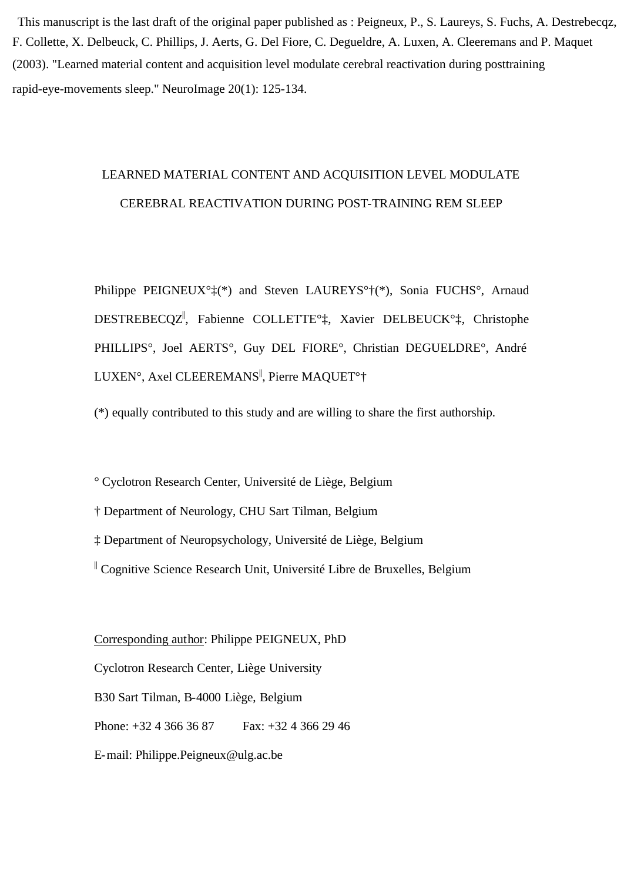rapid-eye-movements sleep." NeuroImage  $20(1)$ : 125-134. (2003). "Learned material content and acquisition level modulate cerebral reactivation during posttraining

# LEARNED MATERIAL CONTENT AND ACQUISITION LEVEL MODULATE CEREBRAL REACTIVATION DURING POST-TRAINING REM SLEEP

Philippe PEIGNEUX°‡(\*) and Steven LAUREYS°†(\*), Sonia FUCHS°, Arnaud DESTREBECQZ|| , Fabienne COLLETTE°‡, Xavier DELBEUCK°‡, Christophe PHILLIPS°, Joel AERTS°, Guy DEL FIORE°, Christian DEGUELDRE°, André LUXEN°, Axel CLEEREMANS||, Pierre MAQUET°†

(\*) equally contributed to this study and are willing to share the first authorship.

° Cyclotron Research Center, Université de Liège, Belgium

† Department of Neurology, CHU Sart Tilman, Belgium

‡ Department of Neuropsychology, Université de Liège, Belgium

|| Cognitive Science Research Unit, Université Libre de Bruxelles, Belgium

Corresponding author: Philippe PEIGNEUX, PhD

Cyclotron Research Center, Liège University

B30 Sart Tilman, B-4000 Liège, Belgium

Phone: +32 4 366 36 87 Fax: +32 4 366 29 46

E-mail: Philippe.Peigneux@ulg.ac.be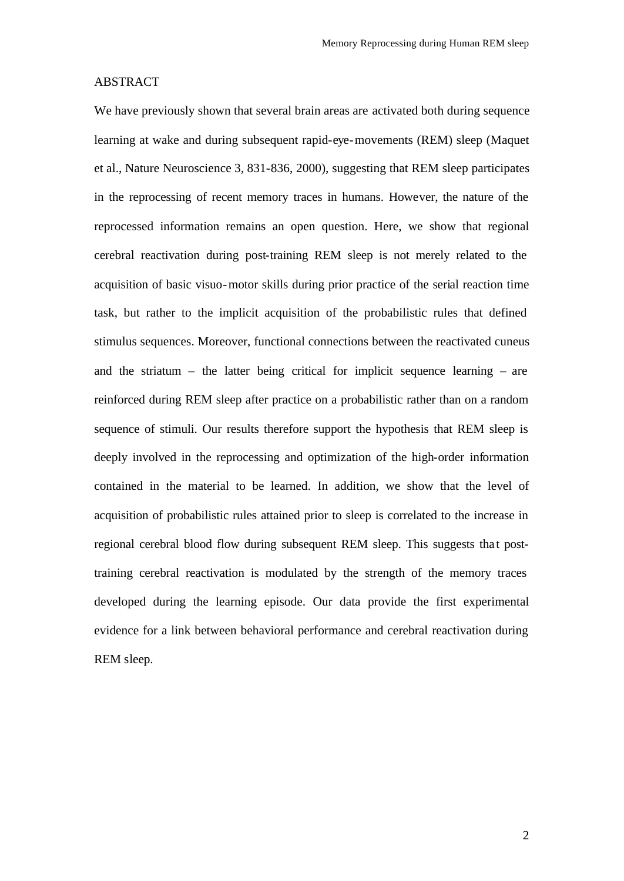## ABSTRACT

We have previously shown that several brain areas are activated both during sequence learning at wake and during subsequent rapid-eye-movements (REM) sleep (Maquet et al., Nature Neuroscience 3, 831-836, 2000), suggesting that REM sleep participates in the reprocessing of recent memory traces in humans. However, the nature of the reprocessed information remains an open question. Here, we show that regional cerebral reactivation during post-training REM sleep is not merely related to the acquisition of basic visuo-motor skills during prior practice of the serial reaction time task, but rather to the implicit acquisition of the probabilistic rules that defined stimulus sequences. Moreover, functional connections between the reactivated cuneus and the striatum – the latter being critical for implicit sequence learning – are reinforced during REM sleep after practice on a probabilistic rather than on a random sequence of stimuli. Our results therefore support the hypothesis that REM sleep is deeply involved in the reprocessing and optimization of the high-order information contained in the material to be learned. In addition, we show that the level of acquisition of probabilistic rules attained prior to sleep is correlated to the increase in regional cerebral blood flow during subsequent REM sleep. This suggests that posttraining cerebral reactivation is modulated by the strength of the memory traces developed during the learning episode. Our data provide the first experimental evidence for a link between behavioral performance and cerebral reactivation during REM sleep.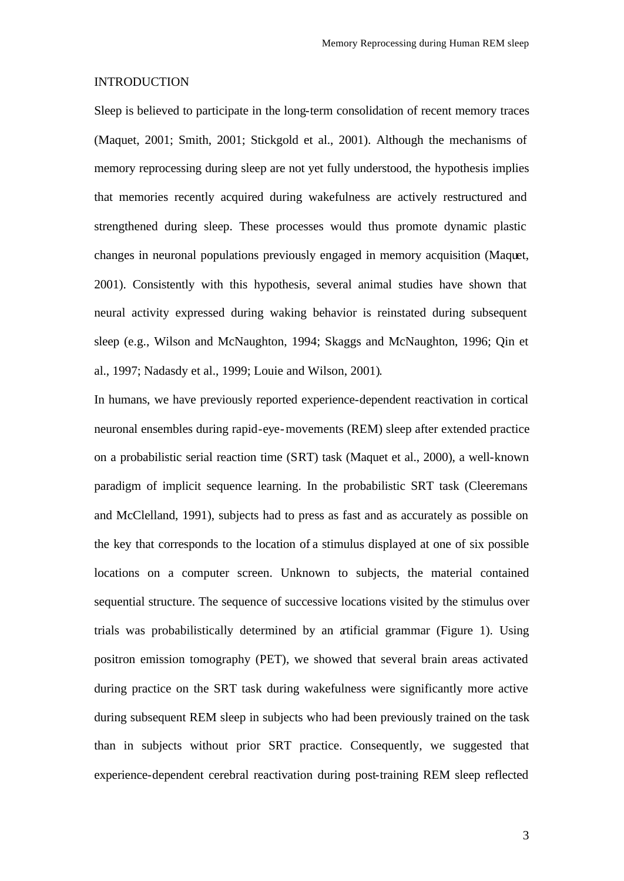#### INTRODUCTION

Sleep is believed to participate in the long-term consolidation of recent memory traces (Maquet, 2001; Smith, 2001; Stickgold et al., 2001). Although the mechanisms of memory reprocessing during sleep are not yet fully understood, the hypothesis implies that memories recently acquired during wakefulness are actively restructured and strengthened during sleep. These processes would thus promote dynamic plastic changes in neuronal populations previously engaged in memory acquisition (Maquet, 2001). Consistently with this hypothesis, several animal studies have shown that neural activity expressed during waking behavior is reinstated during subsequent sleep (e.g., Wilson and McNaughton, 1994; Skaggs and McNaughton, 1996; Qin et al., 1997; Nadasdy et al., 1999; Louie and Wilson, 2001).

In humans, we have previously reported experience-dependent reactivation in cortical neuronal ensembles during rapid-eye-movements (REM) sleep after extended practice on a probabilistic serial reaction time (SRT) task (Maquet et al., 2000), a well-known paradigm of implicit sequence learning. In the probabilistic SRT task (Cleeremans and McClelland, 1991), subjects had to press as fast and as accurately as possible on the key that corresponds to the location of a stimulus displayed at one of six possible locations on a computer screen. Unknown to subjects, the material contained sequential structure. The sequence of successive locations visited by the stimulus over trials was probabilistically determined by an artificial grammar (Figure 1). Using positron emission tomography (PET), we showed that several brain areas activated during practice on the SRT task during wakefulness were significantly more active during subsequent REM sleep in subjects who had been previously trained on the task than in subjects without prior SRT practice. Consequently, we suggested that experience-dependent cerebral reactivation during post-training REM sleep reflected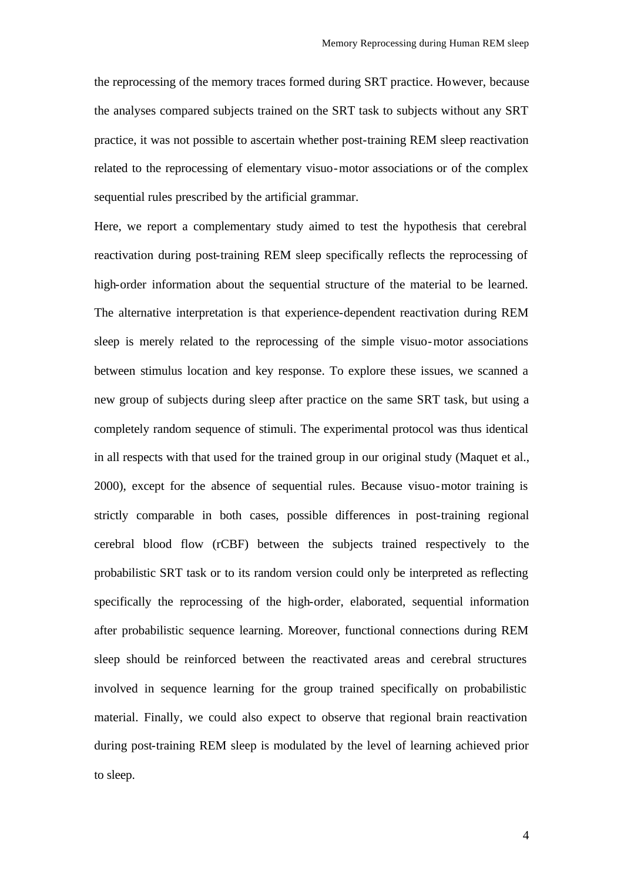the reprocessing of the memory traces formed during SRT practice. However, because the analyses compared subjects trained on the SRT task to subjects without any SRT practice, it was not possible to ascertain whether post-training REM sleep reactivation related to the reprocessing of elementary visuo-motor associations or of the complex sequential rules prescribed by the artificial grammar.

Here, we report a complementary study aimed to test the hypothesis that cerebral reactivation during post-training REM sleep specifically reflects the reprocessing of high-order information about the sequential structure of the material to be learned. The alternative interpretation is that experience-dependent reactivation during REM sleep is merely related to the reprocessing of the simple visuo-motor associations between stimulus location and key response. To explore these issues, we scanned a new group of subjects during sleep after practice on the same SRT task, but using a completely random sequence of stimuli. The experimental protocol was thus identical in all respects with that used for the trained group in our original study (Maquet et al., 2000), except for the absence of sequential rules. Because visuo-motor training is strictly comparable in both cases, possible differences in post-training regional cerebral blood flow (rCBF) between the subjects trained respectively to the probabilistic SRT task or to its random version could only be interpreted as reflecting specifically the reprocessing of the high-order, elaborated, sequential information after probabilistic sequence learning. Moreover, functional connections during REM sleep should be reinforced between the reactivated areas and cerebral structures involved in sequence learning for the group trained specifically on probabilistic material. Finally, we could also expect to observe that regional brain reactivation during post-training REM sleep is modulated by the level of learning achieved prior to sleep.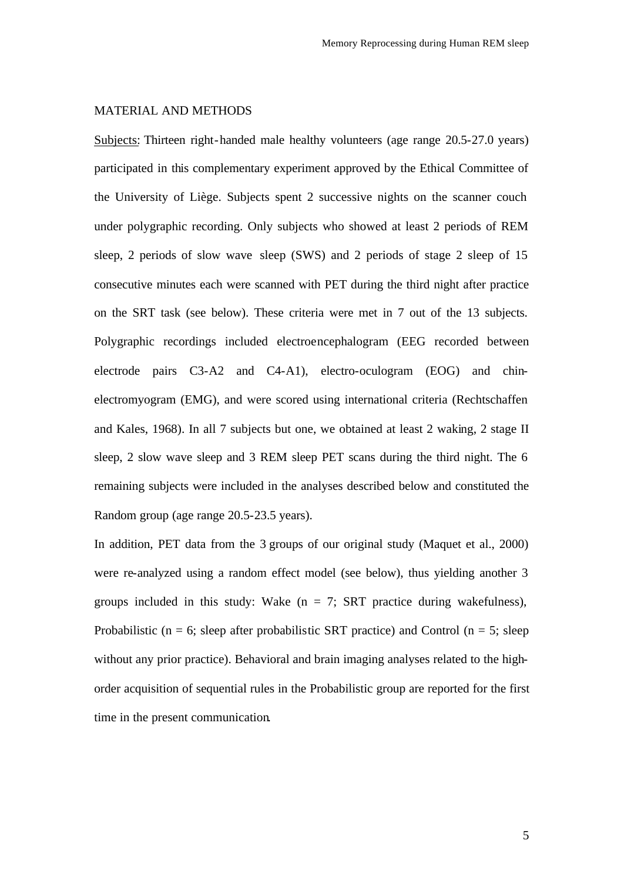# MATERIAL AND METHODS

Subjects: Thirteen right-handed male healthy volunteers (age range 20.5-27.0 years) participated in this complementary experiment approved by the Ethical Committee of the University of Liège. Subjects spent 2 successive nights on the scanner couch under polygraphic recording. Only subjects who showed at least 2 periods of REM sleep, 2 periods of slow wave sleep (SWS) and 2 periods of stage 2 sleep of 15 consecutive minutes each were scanned with PET during the third night after practice on the SRT task (see below). These criteria were met in 7 out of the 13 subjects. Polygraphic recordings included electroencephalogram (EEG recorded between electrode pairs C3-A2 and C4-A1), electro-oculogram (EOG) and chinelectromyogram (EMG), and were scored using international criteria (Rechtschaffen and Kales, 1968). In all 7 subjects but one, we obtained at least 2 waking, 2 stage II sleep, 2 slow wave sleep and 3 REM sleep PET scans during the third night. The 6 remaining subjects were included in the analyses described below and constituted the Random group (age range 20.5-23.5 years).

In addition, PET data from the 3 groups of our original study (Maquet et al., 2000) were re-analyzed using a random effect model (see below), thus yielding another 3 groups included in this study: Wake  $(n = 7; SRT)$  practice during wakefulness), Probabilistic ( $n = 6$ ; sleep after probabilistic SRT practice) and Control ( $n = 5$ ; sleep without any prior practice). Behavioral and brain imaging analyses related to the highorder acquisition of sequential rules in the Probabilistic group are reported for the first time in the present communication.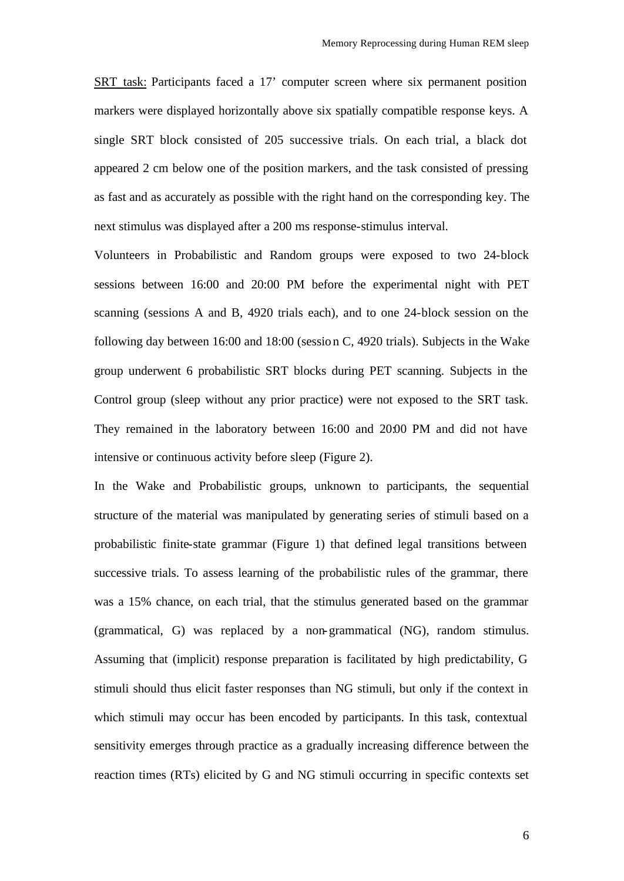SRT task: Participants faced a 17' computer screen where six permanent position markers were displayed horizontally above six spatially compatible response keys. A single SRT block consisted of 205 successive trials. On each trial, a black dot appeared 2 cm below one of the position markers, and the task consisted of pressing as fast and as accurately as possible with the right hand on the corresponding key. The next stimulus was displayed after a 200 ms response-stimulus interval.

Volunteers in Probabilistic and Random groups were exposed to two 24-block sessions between 16:00 and 20:00 PM before the experimental night with PET scanning (sessions A and B, 4920 trials each), and to one 24-block session on the following day between 16:00 and 18:00 (session C, 4920 trials). Subjects in the Wake group underwent 6 probabilistic SRT blocks during PET scanning. Subjects in the Control group (sleep without any prior practice) were not exposed to the SRT task. They remained in the laboratory between 16:00 and 20:00 PM and did not have intensive or continuous activity before sleep (Figure 2).

In the Wake and Probabilistic groups, unknown to participants, the sequential structure of the material was manipulated by generating series of stimuli based on a probabilistic finite-state grammar (Figure 1) that defined legal transitions between successive trials. To assess learning of the probabilistic rules of the grammar, there was a 15% chance, on each trial, that the stimulus generated based on the grammar (grammatical, G) was replaced by a non-grammatical (NG), random stimulus. Assuming that (implicit) response preparation is facilitated by high predictability, G stimuli should thus elicit faster responses than NG stimuli, but only if the context in which stimuli may occur has been encoded by participants. In this task, contextual sensitivity emerges through practice as a gradually increasing difference between the reaction times (RTs) elicited by G and NG stimuli occurring in specific contexts set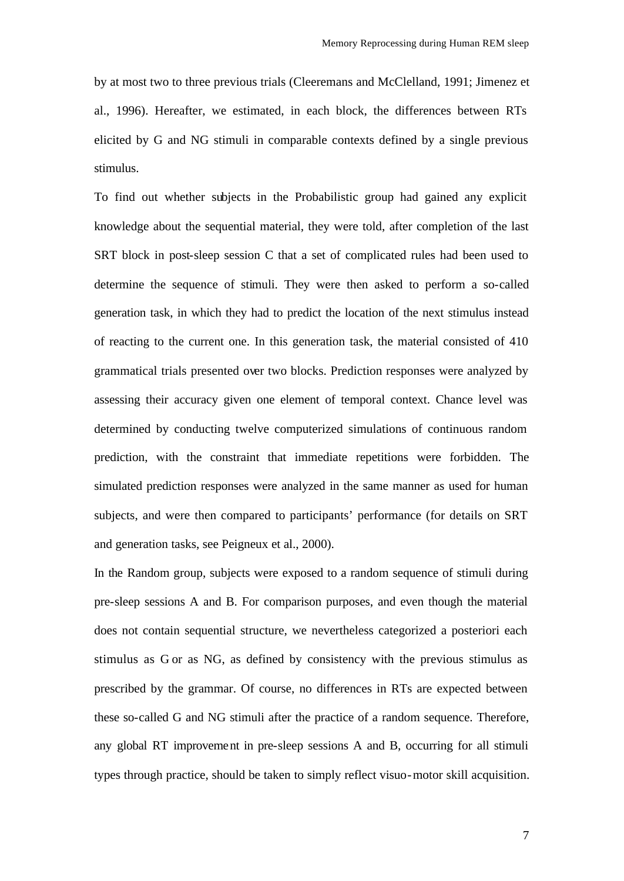by at most two to three previous trials (Cleeremans and McClelland, 1991; Jimenez et al., 1996). Hereafter, we estimated, in each block, the differences between RTs elicited by G and NG stimuli in comparable contexts defined by a single previous stimulus.

To find out whether subjects in the Probabilistic group had gained any explicit knowledge about the sequential material, they were told, after completion of the last SRT block in post-sleep session C that a set of complicated rules had been used to determine the sequence of stimuli. They were then asked to perform a so-called generation task, in which they had to predict the location of the next stimulus instead of reacting to the current one. In this generation task, the material consisted of 410 grammatical trials presented over two blocks. Prediction responses were analyzed by assessing their accuracy given one element of temporal context. Chance level was determined by conducting twelve computerized simulations of continuous random prediction, with the constraint that immediate repetitions were forbidden. The simulated prediction responses were analyzed in the same manner as used for human subjects, and were then compared to participants' performance (for details on SRT and generation tasks, see Peigneux et al., 2000).

In the Random group, subjects were exposed to a random sequence of stimuli during pre-sleep sessions A and B. For comparison purposes, and even though the material does not contain sequential structure, we nevertheless categorized a posteriori each stimulus as G or as NG, as defined by consistency with the previous stimulus as prescribed by the grammar. Of course, no differences in RTs are expected between these so-called G and NG stimuli after the practice of a random sequence. Therefore, any global RT improvement in pre-sleep sessions A and B, occurring for all stimuli types through practice, should be taken to simply reflect visuo-motor skill acquisition.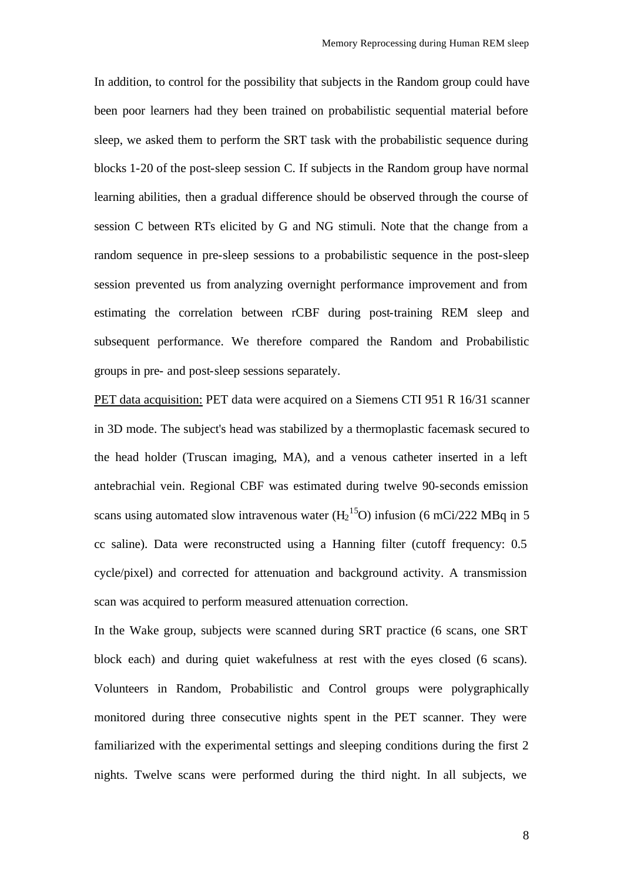In addition, to control for the possibility that subjects in the Random group could have been poor learners had they been trained on probabilistic sequential material before sleep, we asked them to perform the SRT task with the probabilistic sequence during blocks 1-20 of the post-sleep session C. If subjects in the Random group have normal learning abilities, then a gradual difference should be observed through the course of session C between RTs elicited by G and NG stimuli. Note that the change from a random sequence in pre-sleep sessions to a probabilistic sequence in the post-sleep session prevented us from analyzing overnight performance improvement and from estimating the correlation between rCBF during post-training REM sleep and subsequent performance. We therefore compared the Random and Probabilistic groups in pre- and post-sleep sessions separately.

PET data acquisition: PET data were acquired on a Siemens CTI 951 R 16/31 scanner in 3D mode. The subject's head was stabilized by a thermoplastic facemask secured to the head holder (Truscan imaging, MA), and a venous catheter inserted in a left antebrachial vein. Regional CBF was estimated during twelve 90-seconds emission scans using automated slow intravenous water  $(H_2^{15}O)$  infusion (6 mCi/222 MBq in 5 cc saline). Data were reconstructed using a Hanning filter (cutoff frequency: 0.5 cycle/pixel) and corrected for attenuation and background activity. A transmission scan was acquired to perform measured attenuation correction.

In the Wake group, subjects were scanned during SRT practice (6 scans, one SRT block each) and during quiet wakefulness at rest with the eyes closed (6 scans). Volunteers in Random, Probabilistic and Control groups were polygraphically monitored during three consecutive nights spent in the PET scanner. They were familiarized with the experimental settings and sleeping conditions during the first 2 nights. Twelve scans were performed during the third night. In all subjects, we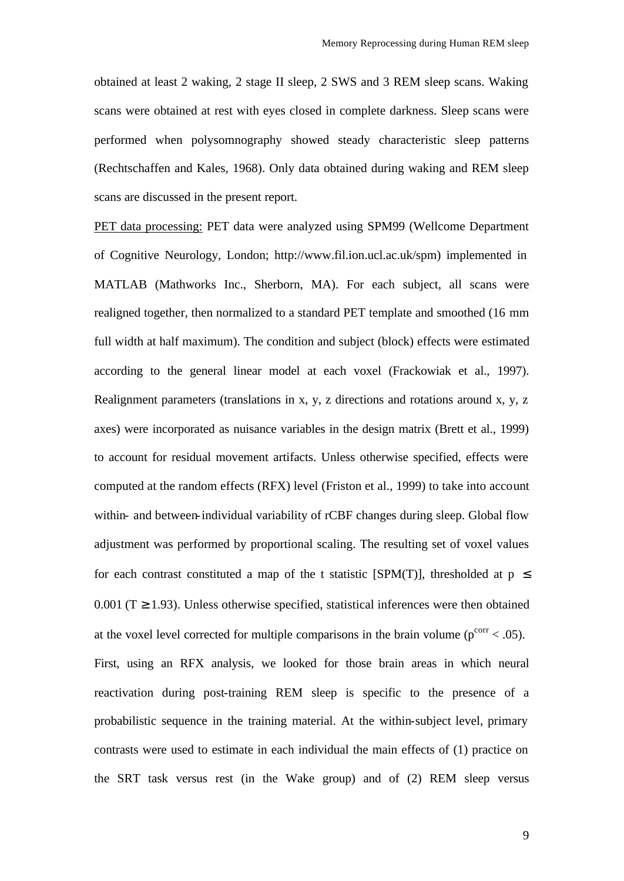obtained at least 2 waking, 2 stage II sleep, 2 SWS and 3 REM sleep scans. Waking scans were obtained at rest with eyes closed in complete darkness. Sleep scans were performed when polysomnography showed steady characteristic sleep patterns (Rechtschaffen and Kales, 1968). Only data obtained during waking and REM sleep scans are discussed in the present report.

PET data processing: PET data were analyzed using SPM99 (Wellcome Department of Cognitive Neurology, London; http://www.fil.ion.ucl.ac.uk/spm) implemented in MATLAB (Mathworks Inc., Sherborn, MA). For each subject, all scans were realigned together, then normalized to a standard PET template and smoothed (16 mm full width at half maximum). The condition and subject (block) effects were estimated according to the general linear model at each voxel (Frackowiak et al., 1997). Realignment parameters (translations in x, y, z directions and rotations around x, y, z axes) were incorporated as nuisance variables in the design matrix (Brett et al., 1999) to account for residual movement artifacts. Unless otherwise specified, effects were computed at the random effects (RFX) level (Friston et al., 1999) to take into account within- and between-individual variability of rCBF changes during sleep. Global flow adjustment was performed by proportional scaling. The resulting set of voxel values for each contrast constituted a map of the t statistic [SPM(T)], thresholded at  $p \leq$ 0.001 ( $T \ge 1.93$ ). Unless otherwise specified, statistical inferences were then obtained at the voxel level corrected for multiple comparisons in the brain volume ( $p^{corr}$  < .05). First, using an RFX analysis, we looked for those brain areas in which neural reactivation during post-training REM sleep is specific to the presence of a probabilistic sequence in the training material. At the within-subject level, primary contrasts were used to estimate in each individual the main effects of (1) practice on the SRT task versus rest (in the Wake group) and of (2) REM sleep versus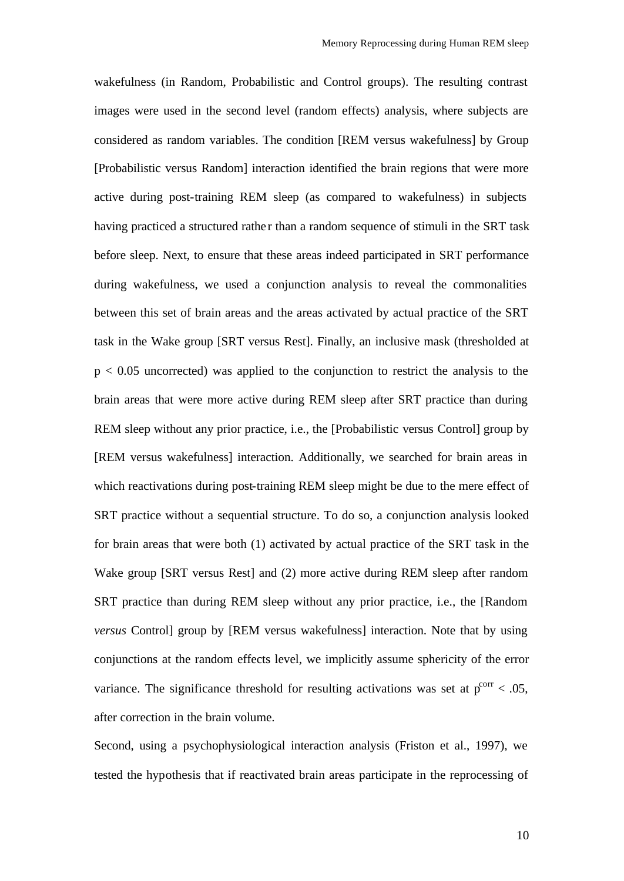wakefulness (in Random, Probabilistic and Control groups). The resulting contrast images were used in the second level (random effects) analysis, where subjects are considered as random variables. The condition [REM versus wakefulness] by Group [Probabilistic versus Random] interaction identified the brain regions that were more active during post-training REM sleep (as compared to wakefulness) in subjects having practiced a structured rather than a random sequence of stimuli in the SRT task before sleep. Next, to ensure that these areas indeed participated in SRT performance during wakefulness, we used a conjunction analysis to reveal the commonalities between this set of brain areas and the areas activated by actual practice of the SRT task in the Wake group [SRT versus Rest]. Finally, an inclusive mask (thresholded at  $p < 0.05$  uncorrected) was applied to the conjunction to restrict the analysis to the brain areas that were more active during REM sleep after SRT practice than during REM sleep without any prior practice, i.e., the [Probabilistic versus Control] group by [REM versus wakefulness] interaction. Additionally, we searched for brain areas in which reactivations during post-training REM sleep might be due to the mere effect of SRT practice without a sequential structure. To do so, a conjunction analysis looked for brain areas that were both (1) activated by actual practice of the SRT task in the Wake group [SRT versus Rest] and (2) more active during REM sleep after random SRT practice than during REM sleep without any prior practice, i.e., the [Random *versus* Control] group by [REM versus wakefulness] interaction. Note that by using conjunctions at the random effects level, we implicitly assume sphericity of the error variance. The significance threshold for resulting activations was set at  $p<sup>corr</sup> < .05$ , after correction in the brain volume.

Second, using a psychophysiological interaction analysis (Friston et al., 1997), we tested the hypothesis that if reactivated brain areas participate in the reprocessing of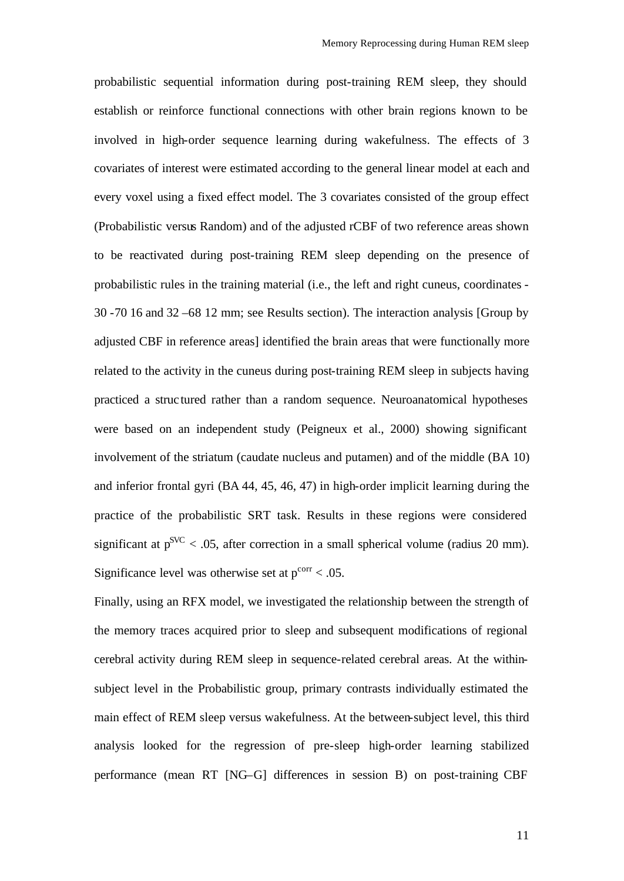probabilistic sequential information during post-training REM sleep, they should establish or reinforce functional connections with other brain regions known to be involved in high-order sequence learning during wakefulness. The effects of 3 covariates of interest were estimated according to the general linear model at each and every voxel using a fixed effect model. The 3 covariates consisted of the group effect (Probabilistic versus Random) and of the adjusted rCBF of two reference areas shown to be reactivated during post-training REM sleep depending on the presence of probabilistic rules in the training material (i.e., the left and right cuneus, coordinates - 30 -70 16 and 32 –68 12 mm; see Results section). The interaction analysis [Group by adjusted CBF in reference areas] identified the brain areas that were functionally more related to the activity in the cuneus during post-training REM sleep in subjects having practiced a struc tured rather than a random sequence. Neuroanatomical hypotheses were based on an independent study (Peigneux et al., 2000) showing significant involvement of the striatum (caudate nucleus and putamen) and of the middle (BA 10) and inferior frontal gyri (BA 44, 45, 46, 47) in high-order implicit learning during the practice of the probabilistic SRT task. Results in these regions were considered significant at  $p^{SVC}$  < .05, after correction in a small spherical volume (radius 20 mm). Significance level was otherwise set at  $p^{corr} < .05$ .

Finally, using an RFX model, we investigated the relationship between the strength of the memory traces acquired prior to sleep and subsequent modifications of regional cerebral activity during REM sleep in sequence-related cerebral areas. At the withinsubject level in the Probabilistic group, primary contrasts individually estimated the main effect of REM sleep versus wakefulness. At the between-subject level, this third analysis looked for the regression of pre-sleep high-order learning stabilized performance (mean RT [NG–G] differences in session B) on post-training CBF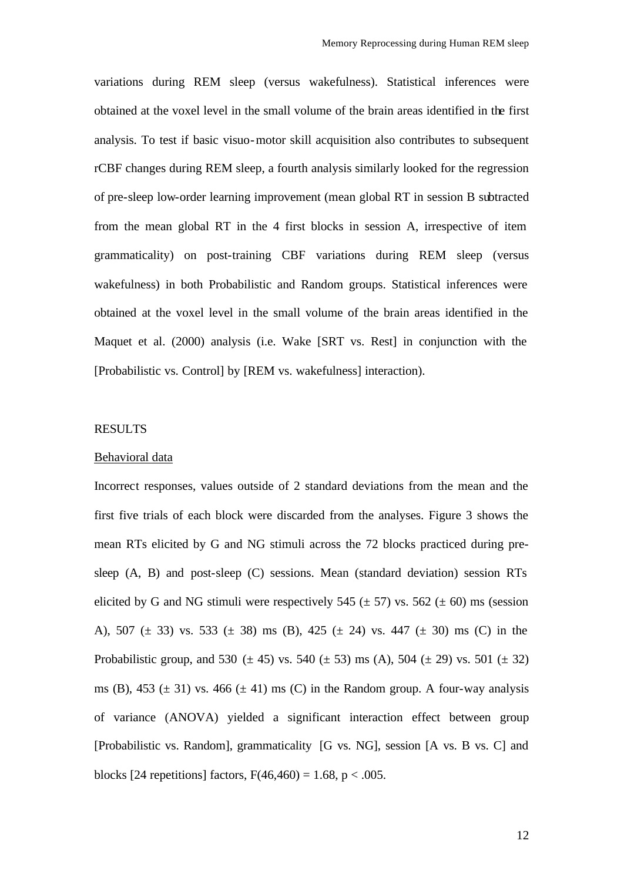variations during REM sleep (versus wakefulness). Statistical inferences were obtained at the voxel level in the small volume of the brain areas identified in the first analysis. To test if basic visuo-motor skill acquisition also contributes to subsequent rCBF changes during REM sleep, a fourth analysis similarly looked for the regression of pre-sleep low-order learning improvement (mean global RT in session B subtracted from the mean global RT in the 4 first blocks in session A, irrespective of item grammaticality) on post-training CBF variations during REM sleep (versus wakefulness) in both Probabilistic and Random groups. Statistical inferences were obtained at the voxel level in the small volume of the brain areas identified in the Maquet et al. (2000) analysis (i.e. Wake [SRT vs. Rest] in conjunction with the [Probabilistic vs. Control] by [REM vs. wakefulness] interaction).

# RESULTS

#### Behavioral data

Incorrect responses, values outside of 2 standard deviations from the mean and the first five trials of each block were discarded from the analyses. Figure 3 shows the mean RTs elicited by G and NG stimuli across the 72 blocks practiced during presleep (A, B) and post-sleep (C) sessions. Mean (standard deviation) session RTs elicited by G and NG stimuli were respectively 545 ( $\pm$  57) vs. 562 ( $\pm$  60) ms (session A), 507 ( $\pm$  33) vs. 533 ( $\pm$  38) ms (B), 425 ( $\pm$  24) vs. 447 ( $\pm$  30) ms (C) in the Probabilistic group, and 530 ( $\pm$  45) vs. 540 ( $\pm$  53) ms (A), 504 ( $\pm$  29) vs. 501 ( $\pm$  32) ms (B), 453 ( $\pm$  31) vs. 466 ( $\pm$  41) ms (C) in the Random group. A four-way analysis of variance (ANOVA) yielded a significant interaction effect between group [Probabilistic vs. Random], grammaticality [G vs. NG], session [A vs. B vs. C] and blocks [24 repetitions] factors,  $F(46,460) = 1.68$ ,  $p < .005$ .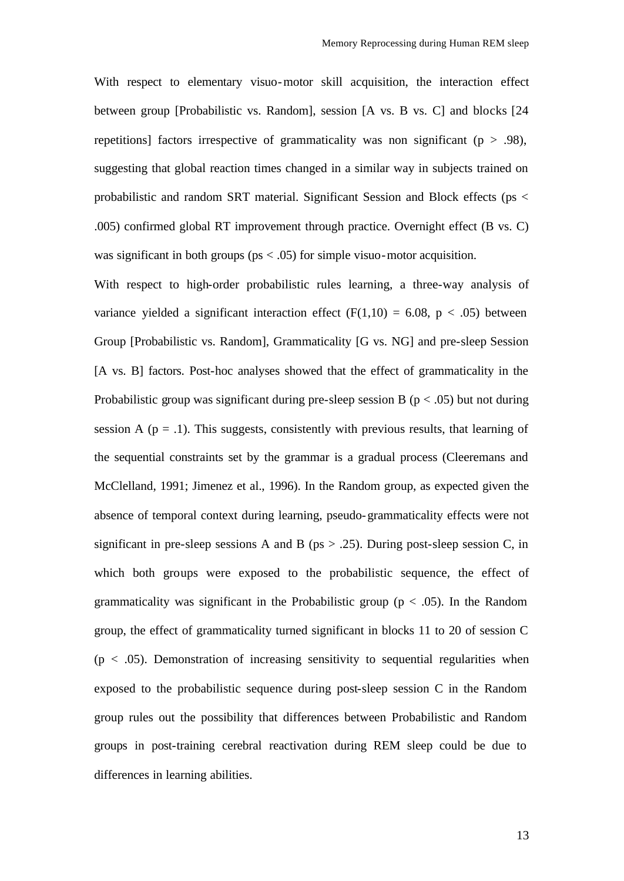With respect to elementary visuo-motor skill acquisition, the interaction effect between group [Probabilistic vs. Random], session [A vs. B vs. C] and blocks [24 repetitions] factors irrespective of grammaticality was non significant ( $p > .98$ ), suggesting that global reaction times changed in a similar way in subjects trained on probabilistic and random SRT material. Significant Session and Block effects (ps < .005) confirmed global RT improvement through practice. Overnight effect (B vs. C) was significant in both groups ( $ps < .05$ ) for simple visuo-motor acquisition.

With respect to high-order probabilistic rules learning, a three-way analysis of variance yielded a significant interaction effect  $(F(1,10) = 6.08, p < .05)$  between Group [Probabilistic vs. Random], Grammaticality [G vs. NG] and pre-sleep Session [A vs. B] factors. Post-hoc analyses showed that the effect of grammaticality in the Probabilistic group was significant during pre-sleep session B ( $p < .05$ ) but not during session A ( $p = 0.1$ ). This suggests, consistently with previous results, that learning of the sequential constraints set by the grammar is a gradual process (Cleeremans and McClelland, 1991; Jimenez et al., 1996). In the Random group, as expected given the absence of temporal context during learning, pseudo-grammaticality effects were not significant in pre-sleep sessions A and B ( $ps > .25$ ). During post-sleep session C, in which both groups were exposed to the probabilistic sequence, the effect of grammaticality was significant in the Probabilistic group ( $p < .05$ ). In the Random group, the effect of grammaticality turned significant in blocks 11 to 20 of session C  $(p < .05)$ . Demonstration of increasing sensitivity to sequential regularities when exposed to the probabilistic sequence during post-sleep session C in the Random group rules out the possibility that differences between Probabilistic and Random groups in post-training cerebral reactivation during REM sleep could be due to differences in learning abilities.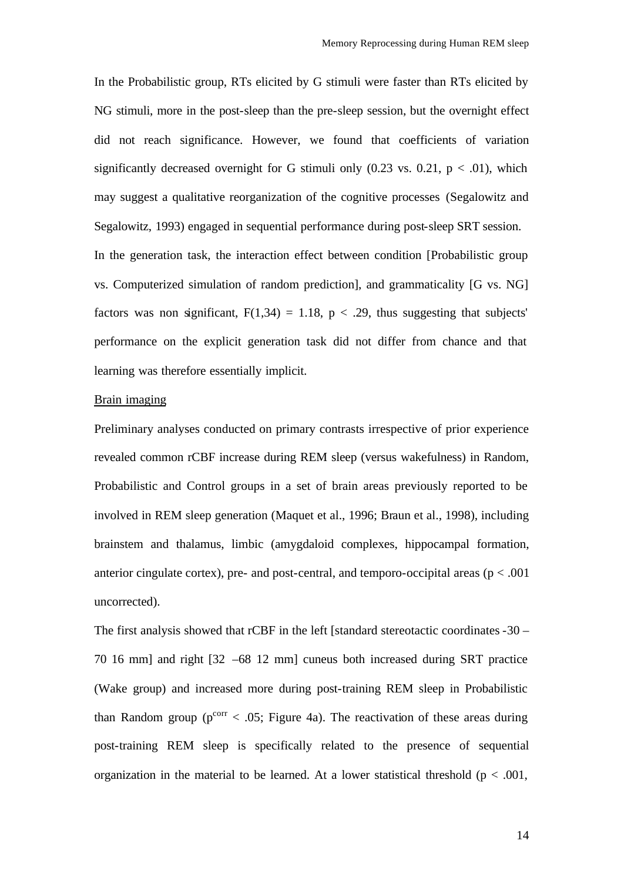In the Probabilistic group, RTs elicited by G stimuli were faster than RTs elicited by NG stimuli, more in the post-sleep than the pre-sleep session, but the overnight effect did not reach significance. However, we found that coefficients of variation significantly decreased overnight for G stimuli only  $(0.23 \text{ vs. } 0.21, \text{ p} < .01)$ , which may suggest a qualitative reorganization of the cognitive processes (Segalowitz and Segalowitz, 1993) engaged in sequential performance during post-sleep SRT session. In the generation task, the interaction effect between condition [Probabilistic group vs. Computerized simulation of random prediction], and grammaticality [G vs. NG] factors was non significant,  $F(1,34) = 1.18$ ,  $p < .29$ , thus suggesting that subjects' performance on the explicit generation task did not differ from chance and that learning was therefore essentially implicit.

### Brain imaging

Preliminary analyses conducted on primary contrasts irrespective of prior experience revealed common rCBF increase during REM sleep (versus wakefulness) in Random, Probabilistic and Control groups in a set of brain areas previously reported to be involved in REM sleep generation (Maquet et al., 1996; Braun et al., 1998), including brainstem and thalamus, limbic (amygdaloid complexes, hippocampal formation, anterior cingulate cortex), pre- and post-central, and temporo-occipital areas ( $p < .001$ ) uncorrected).

The first analysis showed that rCBF in the left [standard stereotactic coordinates -30 – 70 16 mm] and right [32 –68 12 mm] cuneus both increased during SRT practice (Wake group) and increased more during post-training REM sleep in Probabilistic than Random group ( $p^{corr}$  < .05; Figure 4a). The reactivation of these areas during post-training REM sleep is specifically related to the presence of sequential organization in the material to be learned. At a lower statistical threshold ( $p < .001$ ,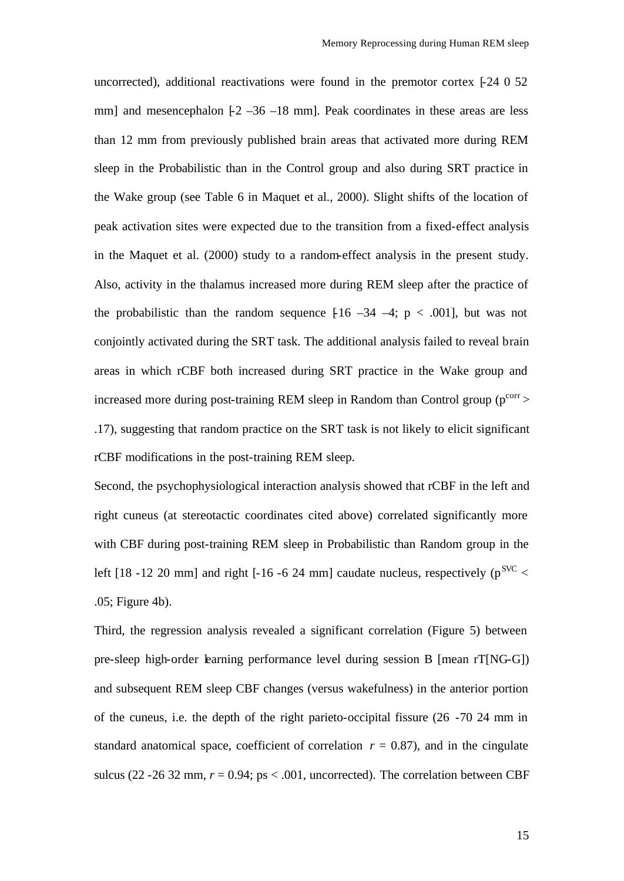uncorrected), additional reactivations were found in the premotor cortex  $[-24 \ 0 \ 52]$ mm] and mesencephalon  $[-2, -36, -18, -18, -18]$  mm]. Peak coordinates in these areas are less than 12 mm from previously published brain areas that activated more during REM sleep in the Probabilistic than in the Control group and also during SRT practice in the Wake group (see Table 6 in Maquet et al., 2000). Slight shifts of the location of peak activation sites were expected due to the transition from a fixed-effect analysis in the Maquet et al. (2000) study to a random-effect analysis in the present study. Also, activity in the thalamus increased more during REM sleep after the practice of the probabilistic than the random sequence  $[16 -34 -4; p < .001]$ , but was not conjointly activated during the SRT task. The additional analysis failed to reveal brain areas in which rCBF both increased during SRT practice in the Wake group and increased more during post-training REM sleep in Random than Control group ( $p^{corr}$ ) .17), suggesting that random practice on the SRT task is not likely to elicit significant rCBF modifications in the post-training REM sleep.

Second, the psychophysiological interaction analysis showed that rCBF in the left and right cuneus (at stereotactic coordinates cited above) correlated significantly more with CBF during post-training REM sleep in Probabilistic than Random group in the left  $[18 - 12 \ 20 \text{ mm}]$  and right  $[-16 - 6 \ 24 \text{ mm}]$  caudate nucleus, respectively  $(p^{\text{SVC}} <$ .05; Figure 4b).

Third, the regression analysis revealed a significant correlation (Figure 5) between pre-sleep high-order learning performance level during session B [mean rT[NG-G]) and subsequent REM sleep CBF changes (versus wakefulness) in the anterior portion of the cuneus, i.e. the depth of the right parieto-occipital fissure (26 -70 24 mm in standard anatomical space, coefficient of correlation  $r = 0.87$ ), and in the cingulate sulcus (22 - 26 32 mm,  $r = 0.94$ ; ps < .001, uncorrected). The correlation between CBF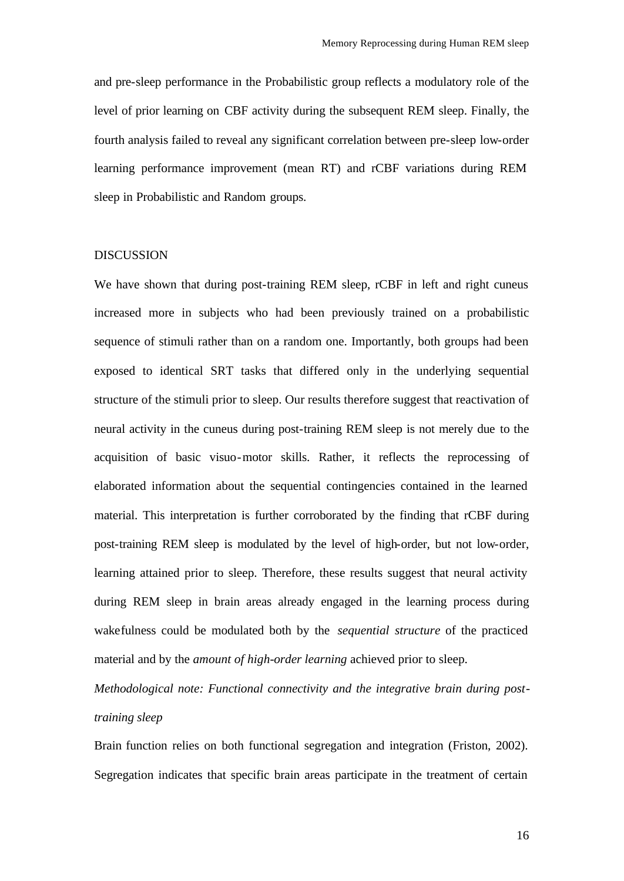and pre-sleep performance in the Probabilistic group reflects a modulatory role of the level of prior learning on CBF activity during the subsequent REM sleep. Finally, the fourth analysis failed to reveal any significant correlation between pre-sleep low-order learning performance improvement (mean RT) and rCBF variations during REM sleep in Probabilistic and Random groups.

# DISCUSSION

We have shown that during post-training REM sleep, rCBF in left and right cuneus increased more in subjects who had been previously trained on a probabilistic sequence of stimuli rather than on a random one. Importantly, both groups had been exposed to identical SRT tasks that differed only in the underlying sequential structure of the stimuli prior to sleep. Our results therefore suggest that reactivation of neural activity in the cuneus during post-training REM sleep is not merely due to the acquisition of basic visuo-motor skills. Rather, it reflects the reprocessing of elaborated information about the sequential contingencies contained in the learned material. This interpretation is further corroborated by the finding that rCBF during post-training REM sleep is modulated by the level of high-order, but not low-order, learning attained prior to sleep. Therefore, these results suggest that neural activity during REM sleep in brain areas already engaged in the learning process during wakefulness could be modulated both by the *sequential structure* of the practiced material and by the *amount of high-order learning* achieved prior to sleep.

*Methodological note: Functional connectivity and the integrative brain during posttraining sleep*

Brain function relies on both functional segregation and integration (Friston, 2002). Segregation indicates that specific brain areas participate in the treatment of certain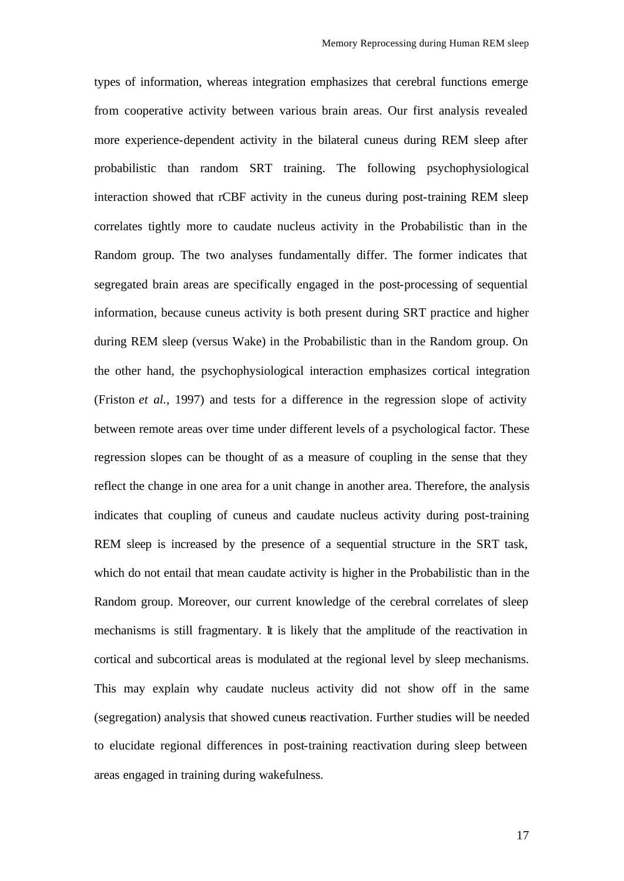types of information, whereas integration emphasizes that cerebral functions emerge from cooperative activity between various brain areas. Our first analysis revealed more experience-dependent activity in the bilateral cuneus during REM sleep after probabilistic than random SRT training. The following psychophysiological interaction showed that rCBF activity in the cuneus during post-training REM sleep correlates tightly more to caudate nucleus activity in the Probabilistic than in the Random group. The two analyses fundamentally differ. The former indicates that segregated brain areas are specifically engaged in the post-processing of sequential information, because cuneus activity is both present during SRT practice and higher during REM sleep (versus Wake) in the Probabilistic than in the Random group. On the other hand, the psychophysiological interaction emphasizes cortical integration (Friston *et al.*, 1997) and tests for a difference in the regression slope of activity between remote areas over time under different levels of a psychological factor. These regression slopes can be thought of as a measure of coupling in the sense that they reflect the change in one area for a unit change in another area. Therefore, the analysis indicates that coupling of cuneus and caudate nucleus activity during post-training REM sleep is increased by the presence of a sequential structure in the SRT task, which do not entail that mean caudate activity is higher in the Probabilistic than in the Random group. Moreover, our current knowledge of the cerebral correlates of sleep mechanisms is still fragmentary. It is likely that the amplitude of the reactivation in cortical and subcortical areas is modulated at the regional level by sleep mechanisms. This may explain why caudate nucleus activity did not show off in the same (segregation) analysis that showed cuneus reactivation. Further studies will be needed to elucidate regional differences in post-training reactivation during sleep between areas engaged in training during wakefulness.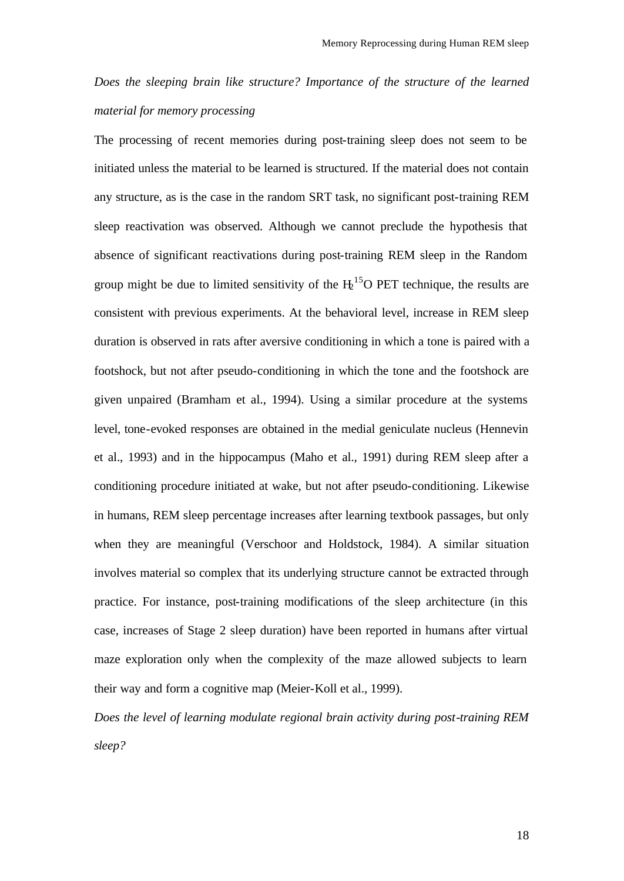*Does the sleeping brain like structure? Importance of the structure of the learned material for memory processing*

The processing of recent memories during post-training sleep does not seem to be initiated unless the material to be learned is structured. If the material does not contain any structure, as is the case in the random SRT task, no significant post-training REM sleep reactivation was observed. Although we cannot preclude the hypothesis that absence of significant reactivations during post-training REM sleep in the Random group might be due to limited sensitivity of the  $H<sub>2</sub><sup>15</sup>O$  PET technique, the results are consistent with previous experiments. At the behavioral level, increase in REM sleep duration is observed in rats after aversive conditioning in which a tone is paired with a footshock, but not after pseudo-conditioning in which the tone and the footshock are given unpaired (Bramham et al., 1994). Using a similar procedure at the systems level, tone-evoked responses are obtained in the medial geniculate nucleus (Hennevin et al., 1993) and in the hippocampus (Maho et al., 1991) during REM sleep after a conditioning procedure initiated at wake, but not after pseudo-conditioning. Likewise in humans, REM sleep percentage increases after learning textbook passages, but only when they are meaningful (Verschoor and Holdstock, 1984). A similar situation involves material so complex that its underlying structure cannot be extracted through practice. For instance, post-training modifications of the sleep architecture (in this case, increases of Stage 2 sleep duration) have been reported in humans after virtual maze exploration only when the complexity of the maze allowed subjects to learn their way and form a cognitive map (Meier-Koll et al., 1999).

*Does the level of learning modulate regional brain activity during post-training REM sleep?*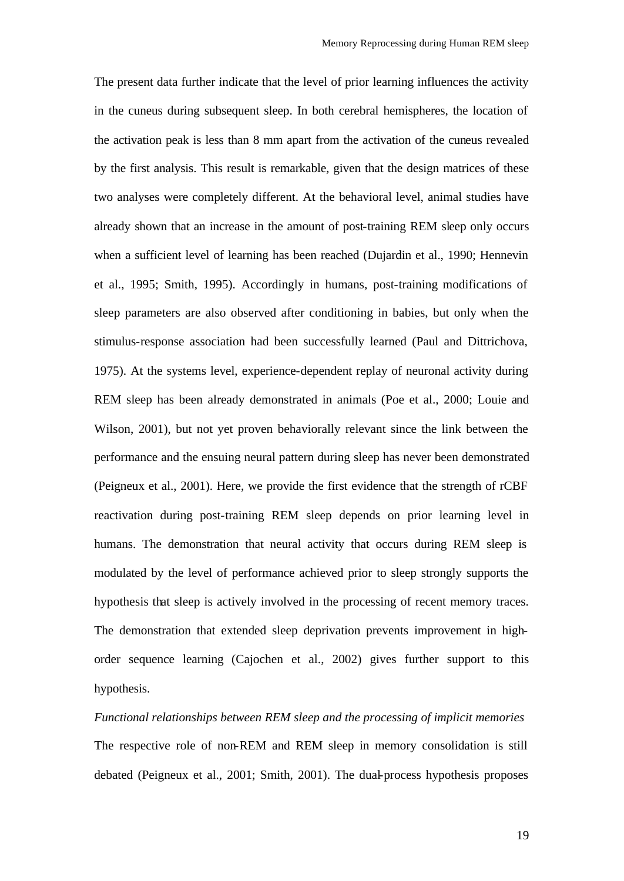The present data further indicate that the level of prior learning influences the activity in the cuneus during subsequent sleep. In both cerebral hemispheres, the location of the activation peak is less than 8 mm apart from the activation of the cuneus revealed by the first analysis. This result is remarkable, given that the design matrices of these two analyses were completely different. At the behavioral level, animal studies have already shown that an increase in the amount of post-training REM sleep only occurs when a sufficient level of learning has been reached (Dujardin et al., 1990; Hennevin et al., 1995; Smith, 1995). Accordingly in humans, post-training modifications of sleep parameters are also observed after conditioning in babies, but only when the stimulus-response association had been successfully learned (Paul and Dittrichova, 1975). At the systems level, experience-dependent replay of neuronal activity during REM sleep has been already demonstrated in animals (Poe et al., 2000; Louie and Wilson, 2001), but not yet proven behaviorally relevant since the link between the performance and the ensuing neural pattern during sleep has never been demonstrated (Peigneux et al., 2001). Here, we provide the first evidence that the strength of rCBF reactivation during post-training REM sleep depends on prior learning level in humans. The demonstration that neural activity that occurs during REM sleep is modulated by the level of performance achieved prior to sleep strongly supports the hypothesis that sleep is actively involved in the processing of recent memory traces. The demonstration that extended sleep deprivation prevents improvement in highorder sequence learning (Cajochen et al., 2002) gives further support to this hypothesis.

*Functional relationships between REM sleep and the processing of implicit memories*  The respective role of non-REM and REM sleep in memory consolidation is still debated (Peigneux et al., 2001; Smith, 2001). The dual-process hypothesis proposes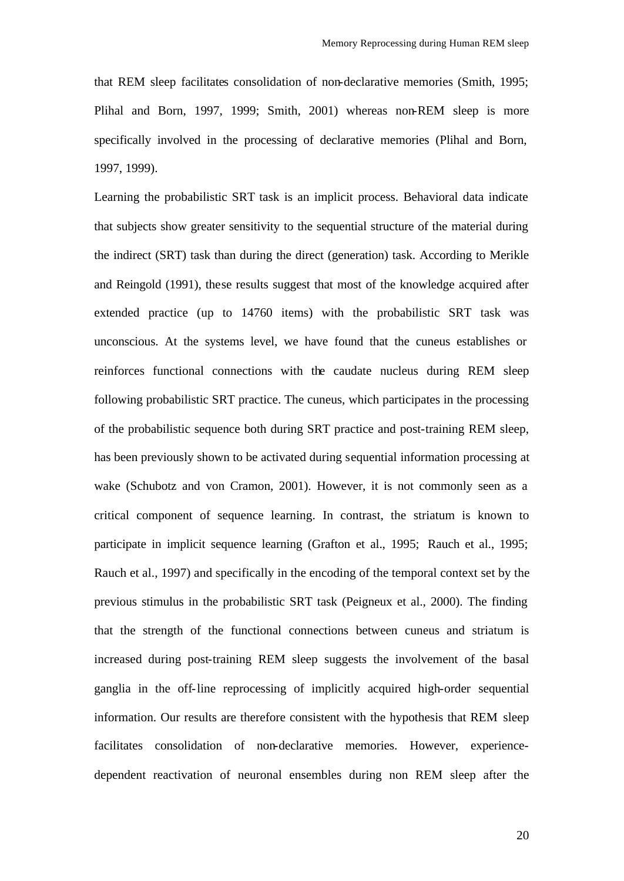that REM sleep facilitates consolidation of non-declarative memories (Smith, 1995; Plihal and Born, 1997, 1999; Smith, 2001) whereas non-REM sleep is more specifically involved in the processing of declarative memories (Plihal and Born, 1997, 1999).

Learning the probabilistic SRT task is an implicit process. Behavioral data indicate that subjects show greater sensitivity to the sequential structure of the material during the indirect (SRT) task than during the direct (generation) task. According to Merikle and Reingold (1991), these results suggest that most of the knowledge acquired after extended practice (up to 14760 items) with the probabilistic SRT task was unconscious. At the systems level, we have found that the cuneus establishes or reinforces functional connections with the caudate nucleus during REM sleep following probabilistic SRT practice. The cuneus, which participates in the processing of the probabilistic sequence both during SRT practice and post-training REM sleep, has been previously shown to be activated during sequential information processing at wake (Schubotz and von Cramon, 2001). However, it is not commonly seen as a critical component of sequence learning. In contrast, the striatum is known to participate in implicit sequence learning (Grafton et al., 1995; Rauch et al., 1995; Rauch et al., 1997) and specifically in the encoding of the temporal context set by the previous stimulus in the probabilistic SRT task (Peigneux et al., 2000). The finding that the strength of the functional connections between cuneus and striatum is increased during post-training REM sleep suggests the involvement of the basal ganglia in the off-line reprocessing of implicitly acquired high-order sequential information. Our results are therefore consistent with the hypothesis that REM sleep facilitates consolidation of non-declarative memories. However, experiencedependent reactivation of neuronal ensembles during non REM sleep after the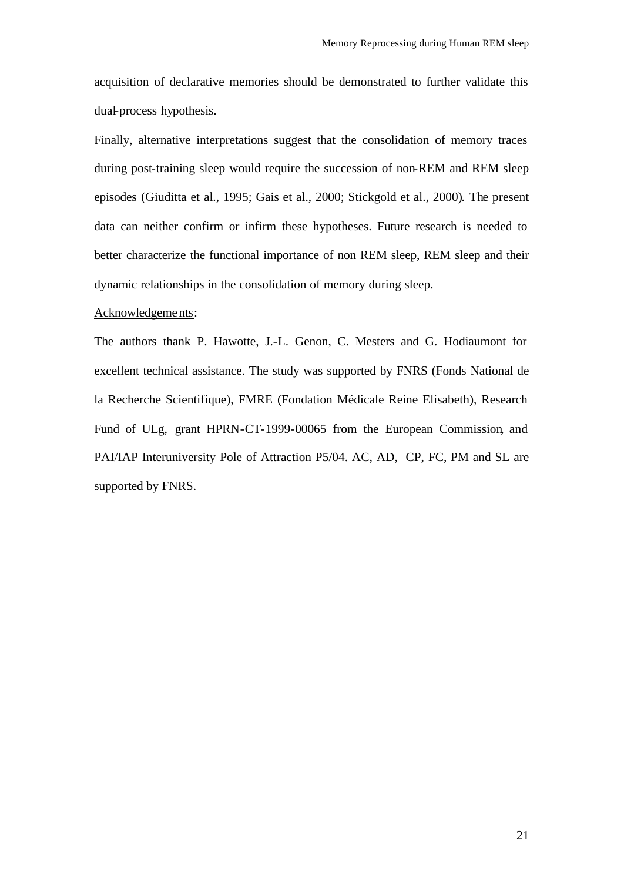acquisition of declarative memories should be demonstrated to further validate this dual-process hypothesis.

Finally, alternative interpretations suggest that the consolidation of memory traces during post-training sleep would require the succession of non-REM and REM sleep episodes (Giuditta et al., 1995; Gais et al., 2000; Stickgold et al., 2000). The present data can neither confirm or infirm these hypotheses. Future research is needed to better characterize the functional importance of non REM sleep, REM sleep and their dynamic relationships in the consolidation of memory during sleep.

#### Acknowledgements:

The authors thank P. Hawotte, J.-L. Genon, C. Mesters and G. Hodiaumont for excellent technical assistance. The study was supported by FNRS (Fonds National de la Recherche Scientifique), FMRE (Fondation Médicale Reine Elisabeth), Research Fund of ULg, grant HPRN-CT-1999-00065 from the European Commission, and PAI/IAP Interuniversity Pole of Attraction P5/04. AC, AD, CP, FC, PM and SL are supported by FNRS.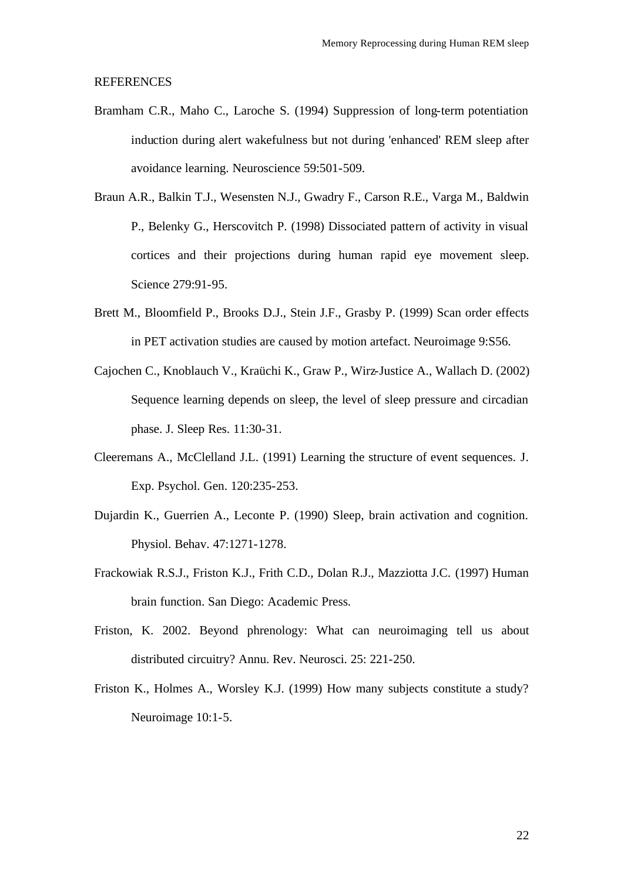#### REFERENCES

- Bramham C.R., Maho C., Laroche S. (1994) Suppression of long-term potentiation induction during alert wakefulness but not during 'enhanced' REM sleep after avoidance learning. Neuroscience 59:501-509.
- Braun A.R., Balkin T.J., Wesensten N.J., Gwadry F., Carson R.E., Varga M., Baldwin P., Belenky G., Herscovitch P. (1998) Dissociated pattern of activity in visual cortices and their projections during human rapid eye movement sleep. Science 279:91-95.
- Brett M., Bloomfield P., Brooks D.J., Stein J.F., Grasby P. (1999) Scan order effects in PET activation studies are caused by motion artefact. Neuroimage 9:S56.
- Cajochen C., Knoblauch V., Kraüchi K., Graw P., Wirz-Justice A., Wallach D. (2002) Sequence learning depends on sleep, the level of sleep pressure and circadian phase. J. Sleep Res. 11:30-31.
- Cleeremans A., McClelland J.L. (1991) Learning the structure of event sequences. J. Exp. Psychol. Gen. 120:235-253.
- Dujardin K., Guerrien A., Leconte P. (1990) Sleep, brain activation and cognition. Physiol. Behav. 47:1271-1278.
- Frackowiak R.S.J., Friston K.J., Frith C.D., Dolan R.J., Mazziotta J.C. (1997) Human brain function. San Diego: Academic Press.
- Friston, K. 2002. Beyond phrenology: What can neuroimaging tell us about distributed circuitry? Annu. Rev. Neurosci. 25: 221-250.
- Friston K., Holmes A., Worsley K.J. (1999) How many subjects constitute a study? Neuroimage 10:1-5.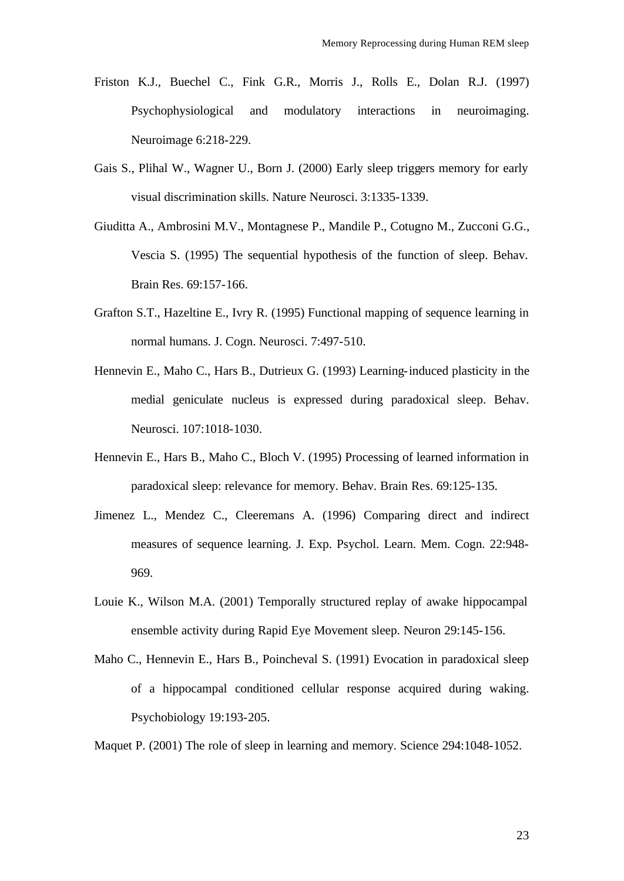- Friston K.J., Buechel C., Fink G.R., Morris J., Rolls E., Dolan R.J. (1997) Psychophysiological and modulatory interactions in neuroimaging. Neuroimage 6:218-229.
- Gais S., Plihal W., Wagner U., Born J. (2000) Early sleep triggers memory for early visual discrimination skills. Nature Neurosci. 3:1335-1339.
- Giuditta A., Ambrosini M.V., Montagnese P., Mandile P., Cotugno M., Zucconi G.G., Vescia S. (1995) The sequential hypothesis of the function of sleep. Behav. Brain Res. 69:157-166.
- Grafton S.T., Hazeltine E., Ivry R. (1995) Functional mapping of sequence learning in normal humans. J. Cogn. Neurosci. 7:497-510.
- Hennevin E., Maho C., Hars B., Dutrieux G. (1993) Learning-induced plasticity in the medial geniculate nucleus is expressed during paradoxical sleep. Behav. Neurosci. 107:1018-1030.
- Hennevin E., Hars B., Maho C., Bloch V. (1995) Processing of learned information in paradoxical sleep: relevance for memory. Behav. Brain Res. 69:125-135.
- Jimenez L., Mendez C., Cleeremans A. (1996) Comparing direct and indirect measures of sequence learning. J. Exp. Psychol. Learn. Mem. Cogn. 22:948- 969.
- Louie K., Wilson M.A. (2001) Temporally structured replay of awake hippocampal ensemble activity during Rapid Eye Movement sleep. Neuron 29:145-156.
- Maho C., Hennevin E., Hars B., Poincheval S. (1991) Evocation in paradoxical sleep of a hippocampal conditioned cellular response acquired during waking. Psychobiology 19:193-205.

Maquet P. (2001) The role of sleep in learning and memory. Science 294:1048-1052.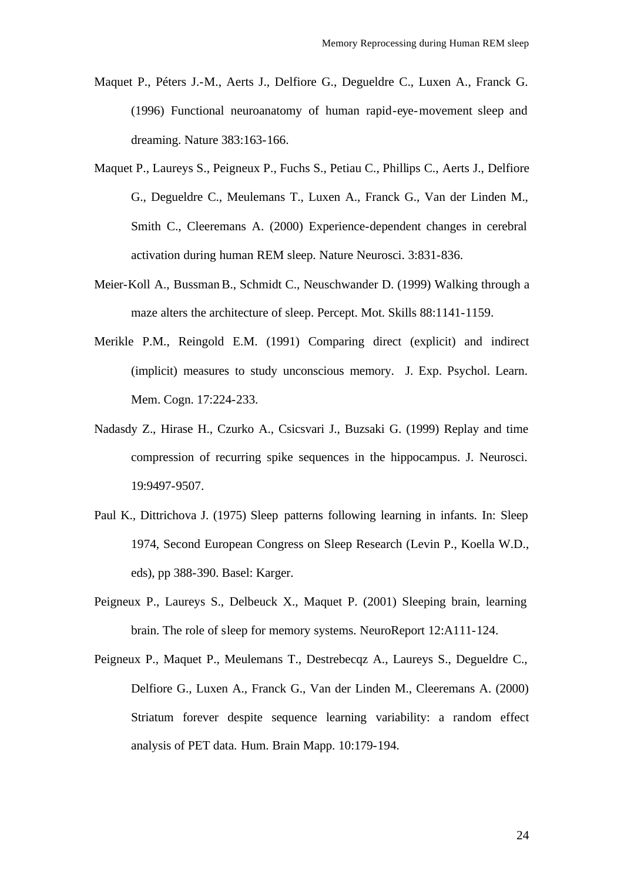- Maquet P., Péters J.-M., Aerts J., Delfiore G., Degueldre C., Luxen A., Franck G. (1996) Functional neuroanatomy of human rapid-eye-movement sleep and dreaming. Nature 383:163-166.
- Maquet P., Laureys S., Peigneux P., Fuchs S., Petiau C., Phillips C., Aerts J., Delfiore G., Degueldre C., Meulemans T., Luxen A., Franck G., Van der Linden M., Smith C., Cleeremans A. (2000) Experience-dependent changes in cerebral activation during human REM sleep. Nature Neurosci. 3:831-836.
- Meier-Koll A., Bussman B., Schmidt C., Neuschwander D. (1999) Walking through a maze alters the architecture of sleep. Percept. Mot. Skills 88:1141-1159.
- Merikle P.M., Reingold E.M. (1991) Comparing direct (explicit) and indirect (implicit) measures to study unconscious memory. J. Exp. Psychol. Learn. Mem. Cogn. 17:224-233.
- Nadasdy Z., Hirase H., Czurko A., Csicsvari J., Buzsaki G. (1999) Replay and time compression of recurring spike sequences in the hippocampus. J. Neurosci. 19:9497-9507.
- Paul K., Dittrichova J. (1975) Sleep patterns following learning in infants. In: Sleep 1974, Second European Congress on Sleep Research (Levin P., Koella W.D., eds), pp 388-390. Basel: Karger.
- Peigneux P., Laureys S., Delbeuck X., Maquet P. (2001) Sleeping brain, learning brain. The role of sleep for memory systems. NeuroReport 12:A111-124.
- Peigneux P., Maquet P., Meulemans T., Destrebecqz A., Laureys S., Degueldre C., Delfiore G., Luxen A., Franck G., Van der Linden M., Cleeremans A. (2000) Striatum forever despite sequence learning variability: a random effect analysis of PET data. Hum. Brain Mapp. 10:179-194.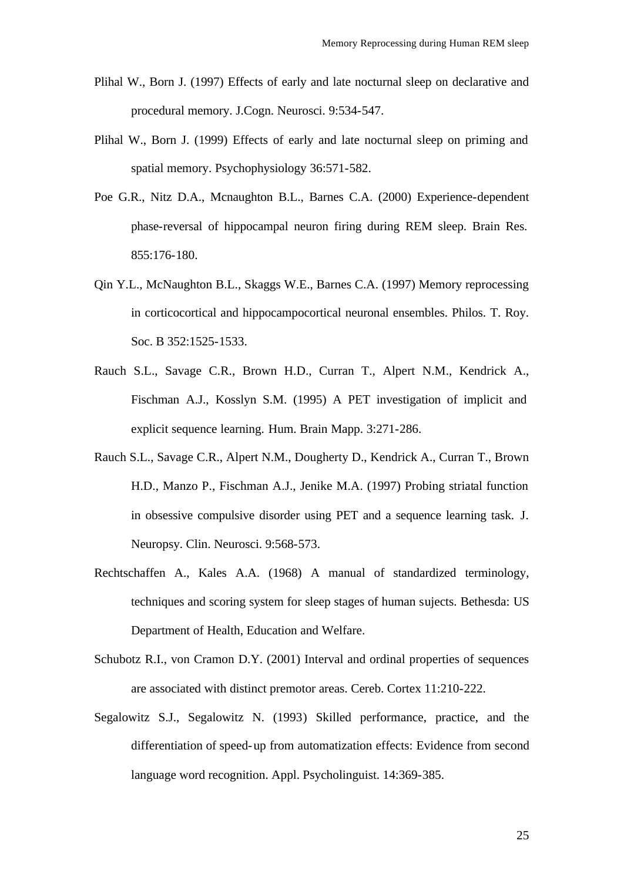- Plihal W., Born J. (1997) Effects of early and late nocturnal sleep on declarative and procedural memory. J.Cogn. Neurosci. 9:534-547.
- Plihal W., Born J. (1999) Effects of early and late nocturnal sleep on priming and spatial memory. Psychophysiology 36:571-582.
- Poe G.R., Nitz D.A., Mcnaughton B.L., Barnes C.A. (2000) Experience-dependent phase-reversal of hippocampal neuron firing during REM sleep. Brain Res. 855:176-180.
- Qin Y.L., McNaughton B.L., Skaggs W.E., Barnes C.A. (1997) Memory reprocessing in corticocortical and hippocampocortical neuronal ensembles. Philos. T. Roy. Soc. B 352:1525-1533.
- Rauch S.L., Savage C.R., Brown H.D., Curran T., Alpert N.M., Kendrick A., Fischman A.J., Kosslyn S.M. (1995) A PET investigation of implicit and explicit sequence learning. Hum. Brain Mapp. 3:271-286.
- Rauch S.L., Savage C.R., Alpert N.M., Dougherty D., Kendrick A., Curran T., Brown H.D., Manzo P., Fischman A.J., Jenike M.A. (1997) Probing striatal function in obsessive compulsive disorder using PET and a sequence learning task. J. Neuropsy. Clin. Neurosci. 9:568-573.
- Rechtschaffen A., Kales A.A. (1968) A manual of standardized terminology, techniques and scoring system for sleep stages of human sujects. Bethesda: US Department of Health, Education and Welfare.
- Schubotz R.I., von Cramon D.Y. (2001) Interval and ordinal properties of sequences are associated with distinct premotor areas. Cereb. Cortex 11:210-222.
- Segalowitz S.J., Segalowitz N. (1993) Skilled performance, practice, and the differentiation of speed-up from automatization effects: Evidence from second language word recognition. Appl. Psycholinguist. 14:369-385.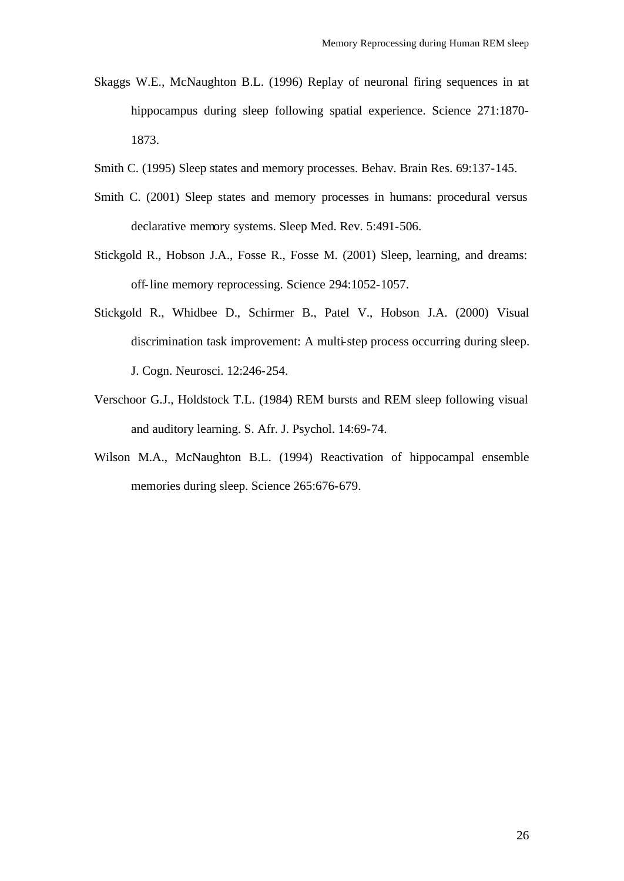- Skaggs W.E., McNaughton B.L. (1996) Replay of neuronal firing sequences in rat hippocampus during sleep following spatial experience. Science 271:1870- 1873.
- Smith C. (1995) Sleep states and memory processes. Behav. Brain Res. 69:137-145.
- Smith C. (2001) Sleep states and memory processes in humans: procedural versus declarative memory systems. Sleep Med. Rev. 5:491-506.
- Stickgold R., Hobson J.A., Fosse R., Fosse M. (2001) Sleep, learning, and dreams: off-line memory reprocessing. Science 294:1052-1057.
- Stickgold R., Whidbee D., Schirmer B., Patel V., Hobson J.A. (2000) Visual discrimination task improvement: A multi-step process occurring during sleep. J. Cogn. Neurosci. 12:246-254.
- Verschoor G.J., Holdstock T.L. (1984) REM bursts and REM sleep following visual and auditory learning. S. Afr. J. Psychol. 14:69-74.
- Wilson M.A., McNaughton B.L. (1994) Reactivation of hippocampal ensemble memories during sleep. Science 265:676-679.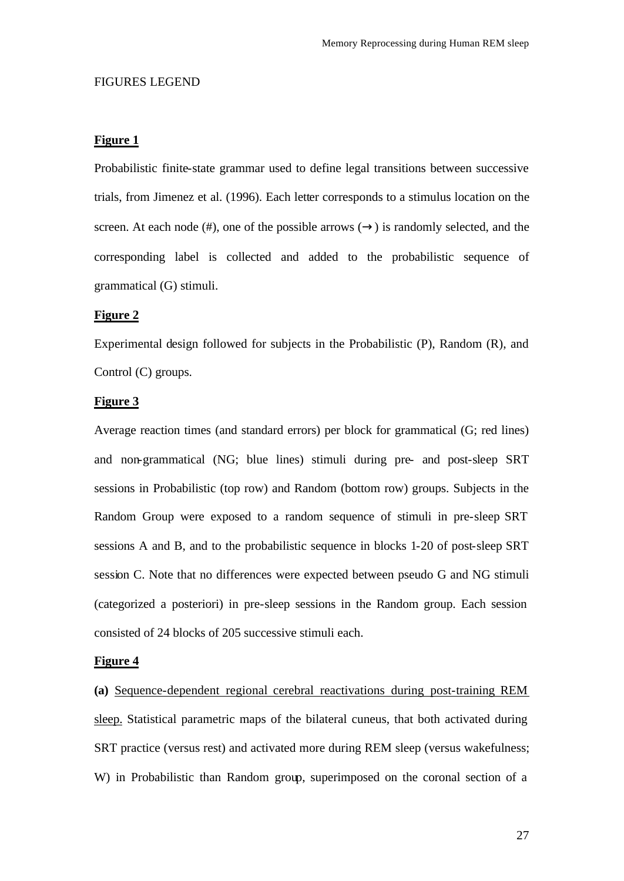#### FIGURES LEGEND

#### **Figure 1**

Probabilistic finite-state grammar used to define legal transitions between successive trials, from Jimenez et al. (1996). Each letter corresponds to a stimulus location on the screen. At each node (#), one of the possible arrows  $(\rightarrow)$  is randomly selected, and the corresponding label is collected and added to the probabilistic sequence of grammatical (G) stimuli.

# **Figure 2**

Experimental design followed for subjects in the Probabilistic (P), Random (R), and Control (C) groups.

# **Figure 3**

Average reaction times (and standard errors) per block for grammatical (G; red lines) and non-grammatical (NG; blue lines) stimuli during pre- and post-sleep SRT sessions in Probabilistic (top row) and Random (bottom row) groups. Subjects in the Random Group were exposed to a random sequence of stimuli in pre-sleep SRT sessions A and B, and to the probabilistic sequence in blocks 1-20 of post-sleep SRT session C. Note that no differences were expected between pseudo G and NG stimuli (categorized a posteriori) in pre-sleep sessions in the Random group. Each session consisted of 24 blocks of 205 successive stimuli each.

## **Figure 4**

**(a)** Sequence-dependent regional cerebral reactivations during post-training REM sleep. Statistical parametric maps of the bilateral cuneus, that both activated during SRT practice (versus rest) and activated more during REM sleep (versus wakefulness; W) in Probabilistic than Random group, superimposed on the coronal section of a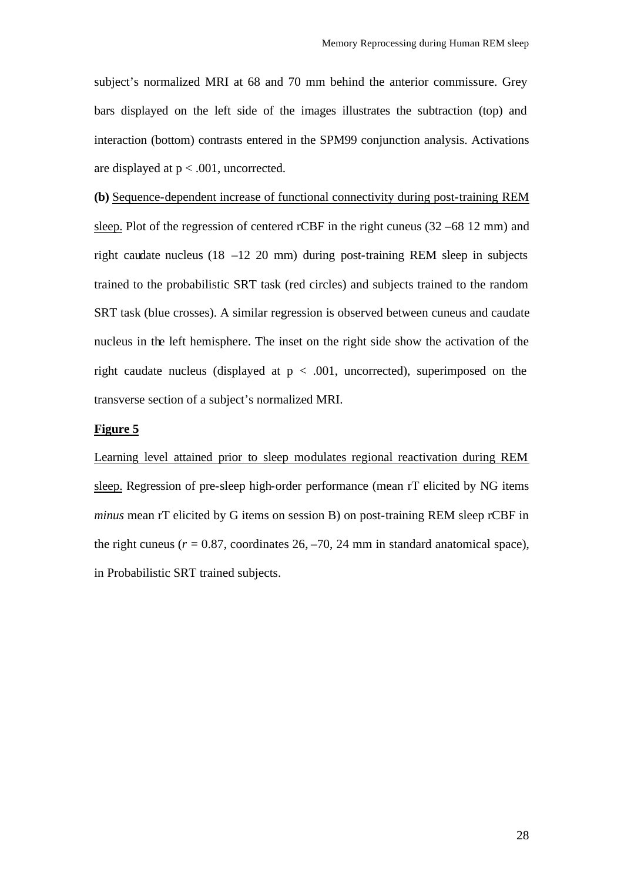subject's normalized MRI at 68 and 70 mm behind the anterior commissure. Grey bars displayed on the left side of the images illustrates the subtraction (top) and interaction (bottom) contrasts entered in the SPM99 conjunction analysis. Activations are displayed at  $p < .001$ , uncorrected.

**(b)** Sequence-dependent increase of functional connectivity during post-training REM sleep. Plot of the regression of centered rCBF in the right cuneus (32 –68 12 mm) and right caudate nucleus (18 –12 20 mm) during post-training REM sleep in subjects trained to the probabilistic SRT task (red circles) and subjects trained to the random SRT task (blue crosses). A similar regression is observed between cuneus and caudate nucleus in the left hemisphere. The inset on the right side show the activation of the right caudate nucleus (displayed at  $p < .001$ , uncorrected), superimposed on the transverse section of a subject's normalized MRI.

# **Figure 5**

Learning level attained prior to sleep modulates regional reactivation during REM sleep. Regression of pre-sleep high-order performance (mean rT elicited by NG items *minus* mean rT elicited by G items on session B) on post-training REM sleep rCBF in the right cuneus  $(r = 0.87,$  coordinates  $26, -70, 24$  mm in standard anatomical space), in Probabilistic SRT trained subjects.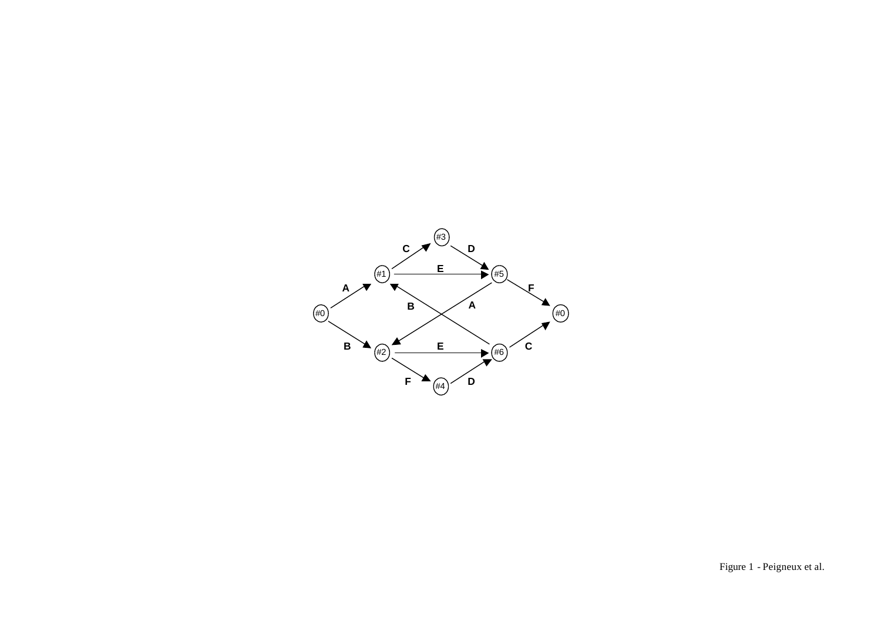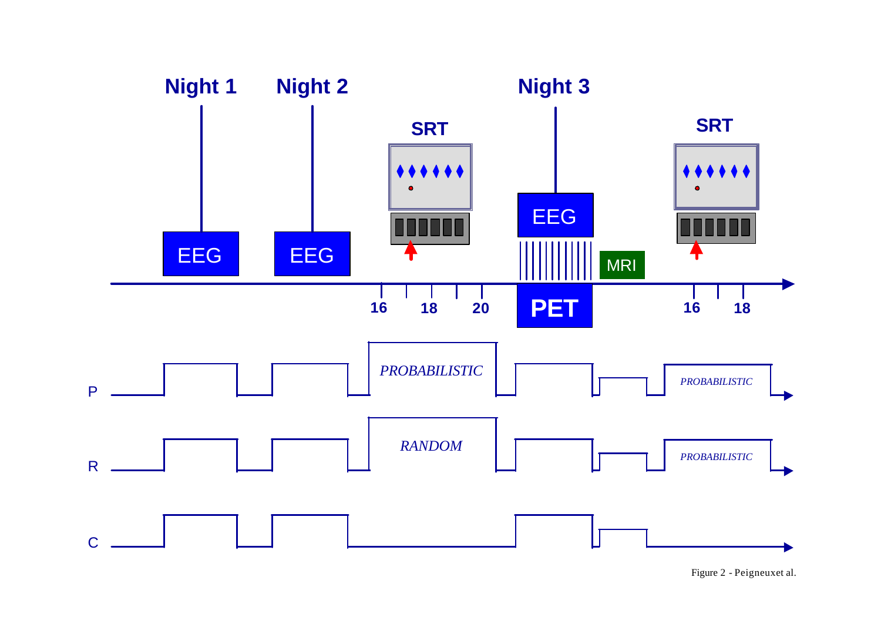

Figure 2 - Peigneuxet al.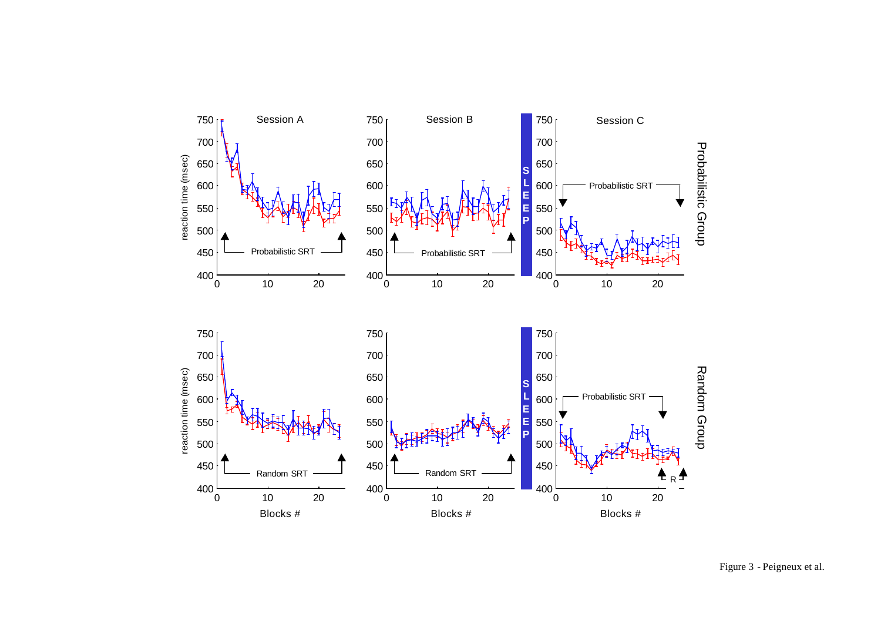

Figure 3 - Peigneux et al.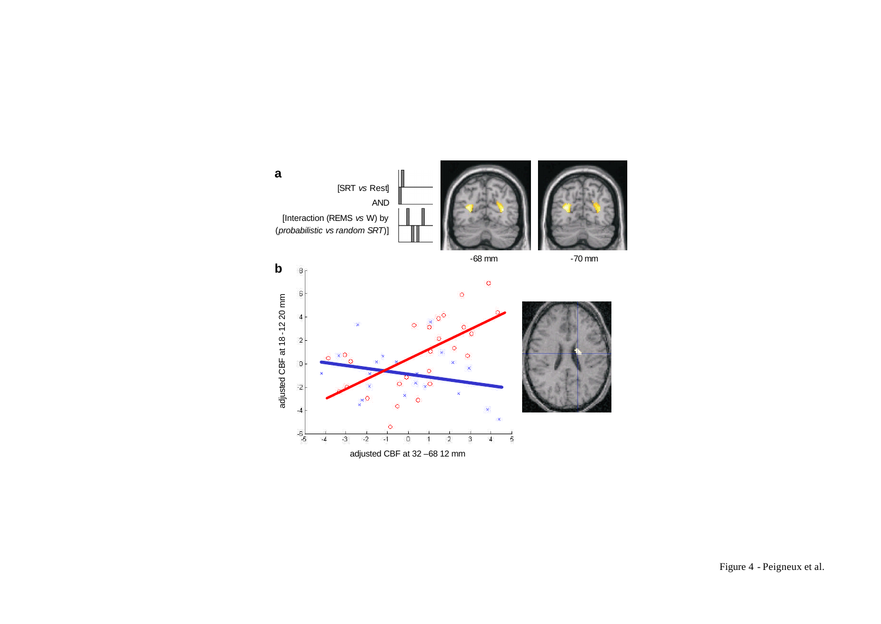

Figure 4 - Peigneux et al.